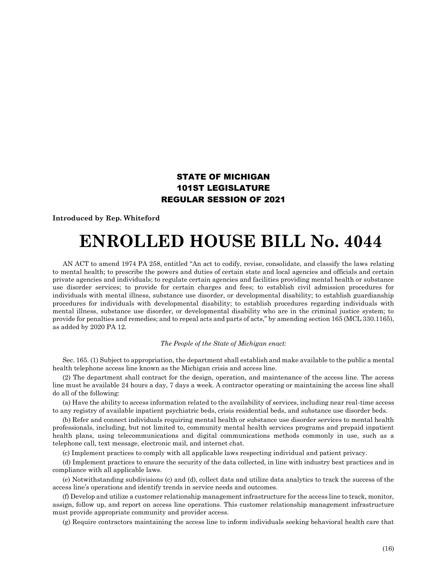## STATE OF MICHIGAN 101ST LEGISLATURE REGULAR SESSION OF 2021

## **Introduced by Rep. Whiteford**

## **ENROLLED HOUSE BILL No. 4044**

AN ACT to amend 1974 PA 258, entitled "An act to codify, revise, consolidate, and classify the laws relating to mental health; to prescribe the powers and duties of certain state and local agencies and officials and certain private agencies and individuals; to regulate certain agencies and facilities providing mental health or substance use disorder services; to provide for certain charges and fees; to establish civil admission procedures for individuals with mental illness, substance use disorder, or developmental disability; to establish guardianship procedures for individuals with developmental disability; to establish procedures regarding individuals with mental illness, substance use disorder, or developmental disability who are in the criminal justice system; to provide for penalties and remedies; and to repeal acts and parts of acts," by amending section 165 (MCL 330.1165), as added by 2020 PA 12.

## *The People of the State of Michigan enact:*

Sec. 165. (1) Subject to appropriation, the department shall establish and make available to the public a mental health telephone access line known as the Michigan crisis and access line.

(2) The department shall contract for the design, operation, and maintenance of the access line. The access line must be available 24 hours a day, 7 days a week. A contractor operating or maintaining the access line shall do all of the following:

(a) Have the ability to access information related to the availability of services, including near real-time access to any registry of available inpatient psychiatric beds, crisis residential beds, and substance use disorder beds.

(b) Refer and connect individuals requiring mental health or substance use disorder services to mental health professionals, including, but not limited to, community mental health services programs and prepaid inpatient health plans, using telecommunications and digital communications methods commonly in use, such as a telephone call, text message, electronic mail, and internet chat.

(c) Implement practices to comply with all applicable laws respecting individual and patient privacy.

(d) Implement practices to ensure the security of the data collected, in line with industry best practices and in compliance with all applicable laws.

(e) Notwithstanding subdivisions (c) and (d), collect data and utilize data analytics to track the success of the access line's operations and identify trends in service needs and outcomes.

(f) Develop and utilize a customer relationship management infrastructure for the access line to track, monitor, assign, follow up, and report on access line operations. This customer relationship management infrastructure must provide appropriate community and provider access.

(g) Require contractors maintaining the access line to inform individuals seeking behavioral health care that